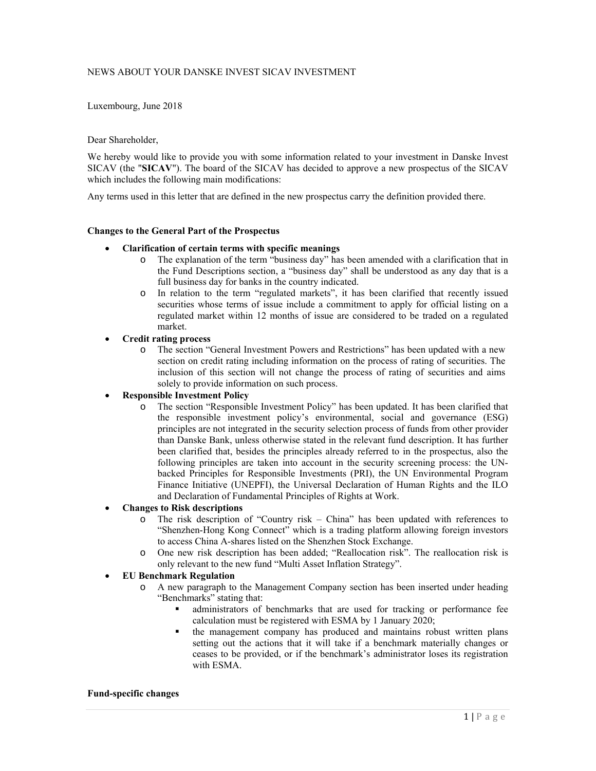# NEWS ABOUT YOUR DANSKE INVEST SICAV INVESTMENT

Luxembourg, June 2018

#### Dear Shareholder,

We hereby would like to provide you with some information related to your investment in Danske Invest SICAV (the "**SICAV**"). The board of the SICAV has decided to approve a new prospectus of the SICAV which includes the following main modifications:

Any terms used in this letter that are defined in the new prospectus carry the definition provided there.

# **Changes to the General Part of the Prospectus**

#### **Clarification of certain terms with specific meanings**

- o The explanation of the term "business day" has been amended with a clarification that in the Fund Descriptions section, a "business day" shall be understood as any day that is a full business day for banks in the country indicated.
- o In relation to the term "regulated markets", it has been clarified that recently issued securities whose terms of issue include a commitment to apply for official listing on a regulated market within 12 months of issue are considered to be traded on a regulated market.

# **Credit rating process**

o The section "General Investment Powers and Restrictions" has been updated with a new section on credit rating including information on the process of rating of securities. The inclusion of this section will not change the process of rating of securities and aims solely to provide information on such process.

# **Responsible Investment Policy**

o The section "Responsible Investment Policy" has been updated. It has been clarified that the responsible investment policy's environmental, social and governance (ESG) principles are not integrated in the security selection process of funds from other provider than Danske Bank, unless otherwise stated in the relevant fund description. It has further been clarified that, besides the principles already referred to in the prospectus, also the following principles are taken into account in the security screening process: the UNbacked Principles for Responsible Investments (PRI), the UN Environmental Program Finance Initiative (UNEPFI), the Universal Declaration of Human Rights and the ILO and Declaration of Fundamental Principles of Rights at Work.

#### **Changes to Risk descriptions**

- o The risk description of "Country risk China" has been updated with references to "Shenzhen-Hong Kong Connect" which is a trading platform allowing foreign investors to access China A-shares listed on the Shenzhen Stock Exchange.
- One new risk description has been added; "Reallocation risk". The reallocation risk is only relevant to the new fund "Multi Asset Inflation Strategy".

# **EU Benchmark Regulation**

- o A new paragraph to the Management Company section has been inserted under heading "Benchmarks" stating that:
	- administrators of benchmarks that are used for tracking or performance fee calculation must be registered with ESMA by 1 January 2020;
	- the management company has produced and maintains robust written plans setting out the actions that it will take if a benchmark materially changes or ceases to be provided, or if the benchmark's administrator loses its registration with ESMA.

#### **Fund-specific changes**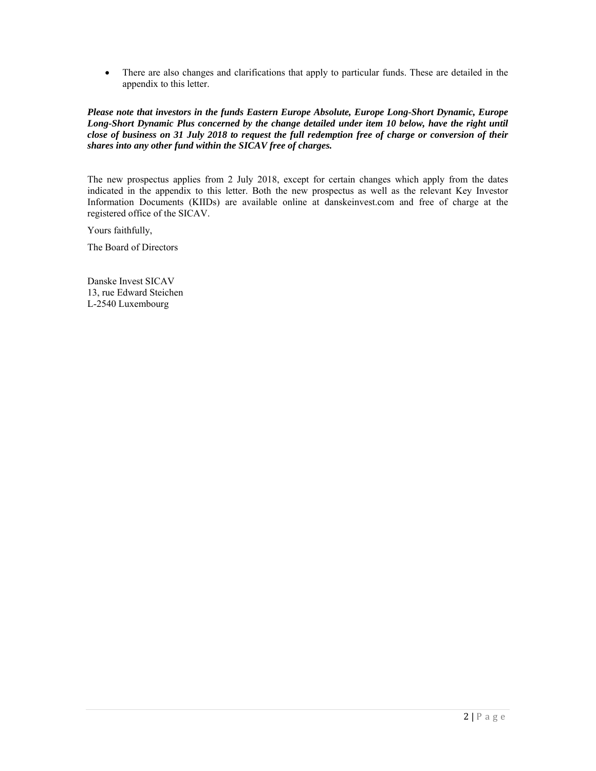There are also changes and clarifications that apply to particular funds. These are detailed in the appendix to this letter.

*Please note that investors in the funds Eastern Europe Absolute, Europe Long-Short Dynamic, Europe Long-Short Dynamic Plus concerned by the change detailed under item 10 below, have the right until close of business on 31 July 2018 to request the full redemption free of charge or conversion of their shares into any other fund within the SICAV free of charges.* 

The new prospectus applies from 2 July 2018, except for certain changes which apply from the dates indicated in the appendix to this letter. Both the new prospectus as well as the relevant Key Investor Information Documents (KIIDs) are available online at danskeinvest.com and free of charge at the registered office of the SICAV.

Yours faithfully,

The Board of Directors

Danske Invest SICAV 13, rue Edward Steichen L-2540 Luxembourg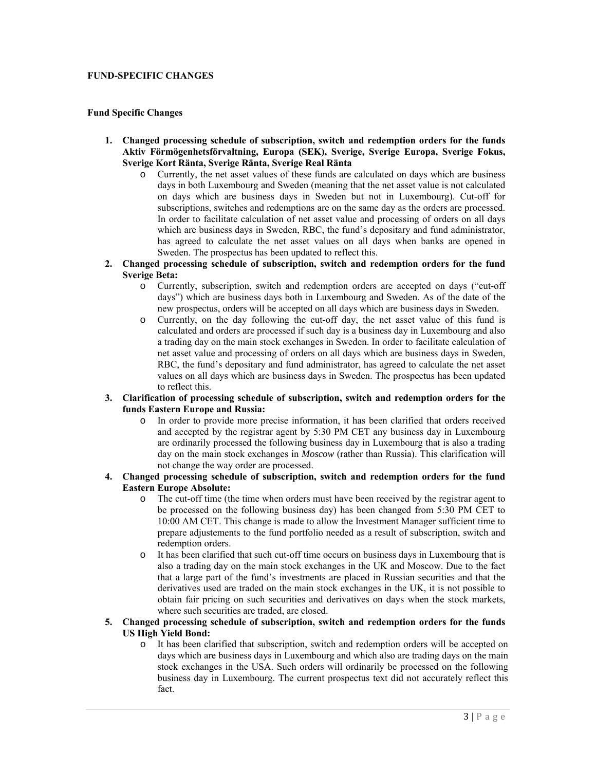# **FUND-SPECIFIC CHANGES**

# **Fund Specific Changes**

- **1. Changed processing schedule of subscription, switch and redemption orders for the funds Aktiv Förmögenhetsförvaltning, Europa (SEK), Sverige, Sverige Europa, Sverige Fokus, Sverige Kort Ränta, Sverige Ränta, Sverige Real Ränta** 
	- o Currently, the net asset values of these funds are calculated on days which are business days in both Luxembourg and Sweden (meaning that the net asset value is not calculated on days which are business days in Sweden but not in Luxembourg). Cut-off for subscriptions, switches and redemptions are on the same day as the orders are processed. In order to facilitate calculation of net asset value and processing of orders on all days which are business days in Sweden, RBC, the fund's depositary and fund administrator, has agreed to calculate the net asset values on all days when banks are opened in Sweden. The prospectus has been updated to reflect this.
- **2. Changed processing schedule of subscription, switch and redemption orders for the fund Sverige Beta:** 
	- o Currently, subscription, switch and redemption orders are accepted on days ("cut-off days") which are business days both in Luxembourg and Sweden. As of the date of the new prospectus, orders will be accepted on all days which are business days in Sweden.
	- o Currently, on the day following the cut-off day, the net asset value of this fund is calculated and orders are processed if such day is a business day in Luxembourg and also a trading day on the main stock exchanges in Sweden. In order to facilitate calculation of net asset value and processing of orders on all days which are business days in Sweden, RBC, the fund's depositary and fund administrator, has agreed to calculate the net asset values on all days which are business days in Sweden. The prospectus has been updated to reflect this.
- **3. Clarification of processing schedule of subscription, switch and redemption orders for the funds Eastern Europe and Russia:** 
	- o In order to provide more precise information, it has been clarified that orders received and accepted by the registrar agent by 5:30 PM CET any business day in Luxembourg are ordinarily processed the following business day in Luxembourg that is also a trading day on the main stock exchanges in *Moscow* (rather than Russia). This clarification will not change the way order are processed.
- **4. Changed processing schedule of subscription, switch and redemption orders for the fund Eastern Europe Absolute:** 
	- o The cut-off time (the time when orders must have been received by the registrar agent to be processed on the following business day) has been changed from 5:30 PM CET to 10:00 AM CET. This change is made to allow the Investment Manager sufficient time to prepare adjustements to the fund portfolio needed as a result of subscription, switch and redemption orders.
	- o It has been clarified that such cut-off time occurs on business days in Luxembourg that is also a trading day on the main stock exchanges in the UK and Moscow. Due to the fact that a large part of the fund's investments are placed in Russian securities and that the derivatives used are traded on the main stock exchanges in the UK, it is not possible to obtain fair pricing on such securities and derivatives on days when the stock markets, where such securities are traded, are closed.
- **5. Changed processing schedule of subscription, switch and redemption orders for the funds US High Yield Bond:** 
	- o It has been clarified that subscription, switch and redemption orders will be accepted on days which are business days in Luxembourg and which also are trading days on the main stock exchanges in the USA. Such orders will ordinarily be processed on the following business day in Luxembourg. The current prospectus text did not accurately reflect this fact.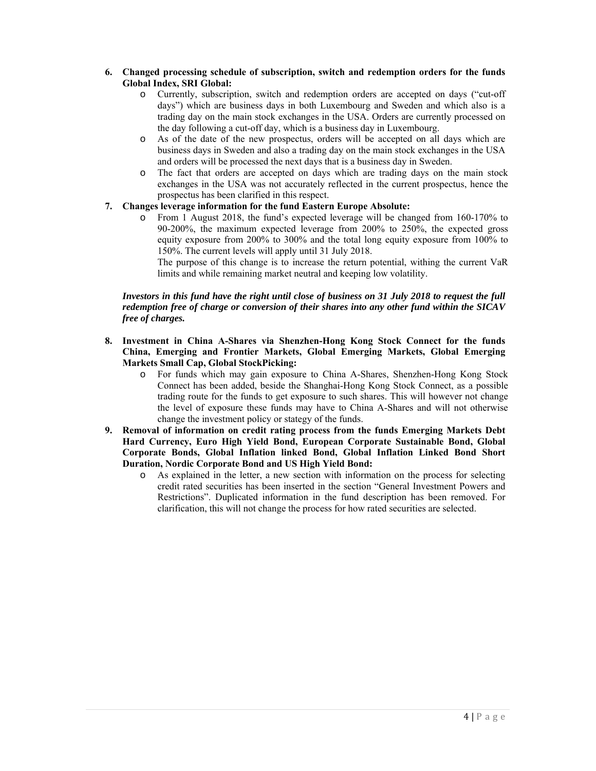# **6. Changed processing schedule of subscription, switch and redemption orders for the funds Global Index, SRI Global:**

- o Currently, subscription, switch and redemption orders are accepted on days ("cut-off days") which are business days in both Luxembourg and Sweden and which also is a trading day on the main stock exchanges in the USA. Orders are currently processed on the day following a cut-off day, which is a business day in Luxembourg.
- o As of the date of the new prospectus, orders will be accepted on all days which are business days in Sweden and also a trading day on the main stock exchanges in the USA and orders will be processed the next days that is a business day in Sweden.
- o The fact that orders are accepted on days which are trading days on the main stock exchanges in the USA was not accurately reflected in the current prospectus, hence the prospectus has been clarified in this respect.

# **7. Changes leverage information for the fund Eastern Europe Absolute:**

o From 1 August 2018, the fund's expected leverage will be changed from 160-170% to 90-200%, the maximum expected leverage from 200% to 250%, the expected gross equity exposure from 200% to 300% and the total long equity exposure from 100% to 150%. The current levels will apply until 31 July 2018.

The purpose of this change is to increase the return potential, withing the current VaR limits and while remaining market neutral and keeping low volatility.

# *Investors in this fund have the right until close of business on 31 July 2018 to request the full redemption free of charge or conversion of their shares into any other fund within the SICAV free of charges.*

- **8. Investment in China A-Shares via Shenzhen-Hong Kong Stock Connect for the funds China, Emerging and Frontier Markets, Global Emerging Markets, Global Emerging Markets Small Cap, Global StockPicking:** 
	- o For funds which may gain exposure to China A-Shares, Shenzhen-Hong Kong Stock Connect has been added, beside the Shanghai-Hong Kong Stock Connect, as a possible trading route for the funds to get exposure to such shares. This will however not change the level of exposure these funds may have to China A-Shares and will not otherwise change the investment policy or stategy of the funds.
- **9. Removal of information on credit rating process from the funds Emerging Markets Debt Hard Currency, Euro High Yield Bond, European Corporate Sustainable Bond, Global Corporate Bonds, Global Inflation linked Bond, Global Inflation Linked Bond Short Duration, Nordic Corporate Bond and US High Yield Bond:** 
	- o As explained in the letter, a new section with information on the process for selecting credit rated securities has been inserted in the section "General Investment Powers and Restrictions". Duplicated information in the fund description has been removed. For clarification, this will not change the process for how rated securities are selected.